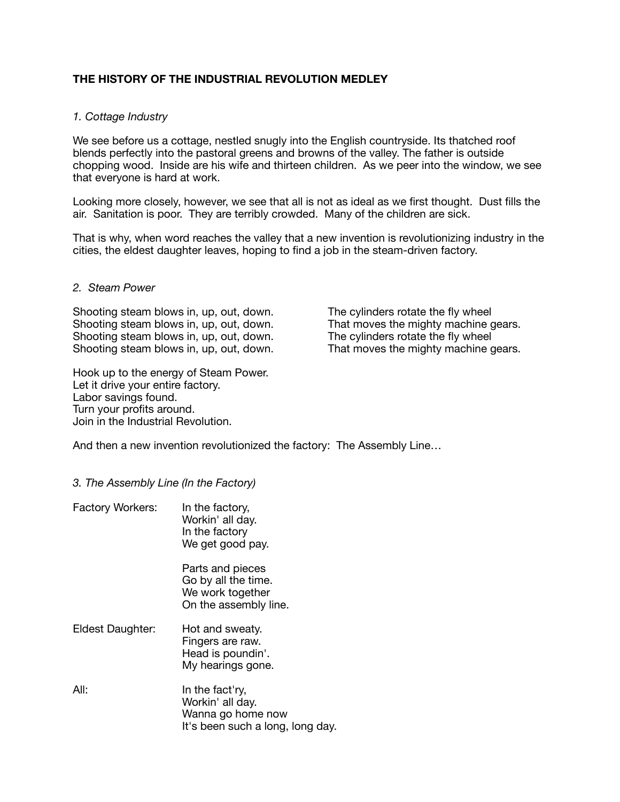## **THE HISTORY OF THE INDUSTRIAL REVOLUTION MEDLEY**

## *1. Cottage Industry*

We see before us a cottage, nestled snugly into the English countryside. Its thatched roof blends perfectly into the pastoral greens and browns of the valley. The father is outside chopping wood. Inside are his wife and thirteen children. As we peer into the window, we see that everyone is hard at work.

Looking more closely, however, we see that all is not as ideal as we first thought. Dust fills the air. Sanitation is poor. They are terribly crowded. Many of the children are sick.

That is why, when word reaches the valley that a new invention is revolutionizing industry in the cities, the eldest daughter leaves, hoping to find a job in the steam-driven factory.

## *2. Steam Power*

Shooting steam blows in, up, out, down. The cylinders rotate the fly wheel Shooting steam blows in, up, out, down. That moves the mighty machine gears. Shooting steam blows in, up, out, down. The cylinders rotate the fly wheel Shooting steam blows in, up, out, down. That moves the mighty machine gears.

Hook up to the energy of Steam Power. Let it drive your entire factory. Labor savings found. Turn your profits around. Join in the Industrial Revolution.

And then a new invention revolutionized the factory: The Assembly Line…

- *3. The Assembly Line (In the Factory)*
- Factory Workers: In the factory, Workin' all day. In the factory We get good pay. Parts and pieces Go by all the time. We work together On the assembly line.
- Eldest Daughter: Hot and sweaty. Fingers are raw. Head is poundin'. My hearings gone.
- All:  $\qquad \qquad$  In the fact'ry, Workin' all day. Wanna go home now It's been such a long, long day.